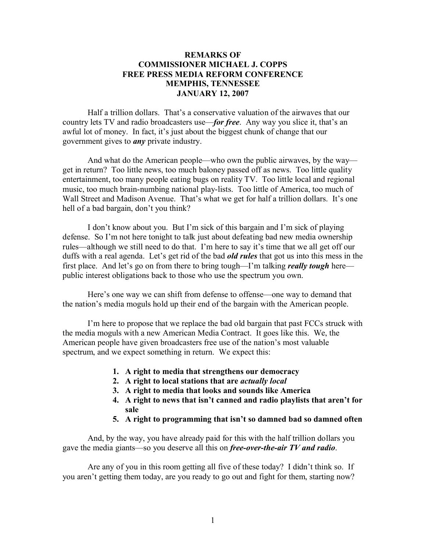## **REMARKS OF COMMISSIONER MICHAEL J. COPPS FREE PRESS MEDIA REFORM CONFERENCE MEMPHIS, TENNESSEE JANUARY 12, 2007**

Half a trillion dollars. That's a conservative valuation of the airwaves that our country lets TV and radio broadcasters use—*for free*. Any way you slice it, that's an awful lot of money. In fact, it's just about the biggest chunk of change that our government gives to *any* private industry.

And what do the American people—who own the public airwaves, by the way get in return? Too little news, too much baloney passed off as news. Too little quality entertainment, too many people eating bugs on reality TV. Too little local and regional music, too much brain-numbing national play-lists. Too little of America, too much of Wall Street and Madison Avenue. That's what we get for half a trillion dollars. It's one hell of a bad bargain, don't you think?

I don't know about you. But I'm sick of this bargain and I'm sick of playing defense. So I'm not here tonight to talk just about defeating bad new media ownership rules—although we still need to do that. I'm here to say it's time that we all get off our duffs with a real agenda. Let's get rid of the bad *old rules* that got us into this mess in the first place. And let's go on from there to bring tough—I'm talking *really tough* here public interest obligations back to those who use the spectrum you own.

Here's one way we can shift from defense to offense—one way to demand that the nation's media moguls hold up their end of the bargain with the American people.

I'm here to propose that we replace the bad old bargain that past FCCs struck with the media moguls with a new American Media Contract. It goes like this. We, the American people have given broadcasters free use of the nation's most valuable spectrum, and we expect something in return. We expect this:

- **1. A right to media that strengthens our democracy**
- **2. A right to local stations that are** *actually local*
- **3. A right to media that looks and sounds like America**
- **4. A right to news that isn't canned and radio playlists that aren't for sale**
- **5. A right to programming that isn't so damned bad so damned often**

And, by the way, you have already paid for this with the half trillion dollars you gave the media giants—so you deserve all this on *free-over-the-air TV and radio*.

Are any of you in this room getting all five of these today? I didn't think so. If you aren't getting them today, are you ready to go out and fight for them, starting now?